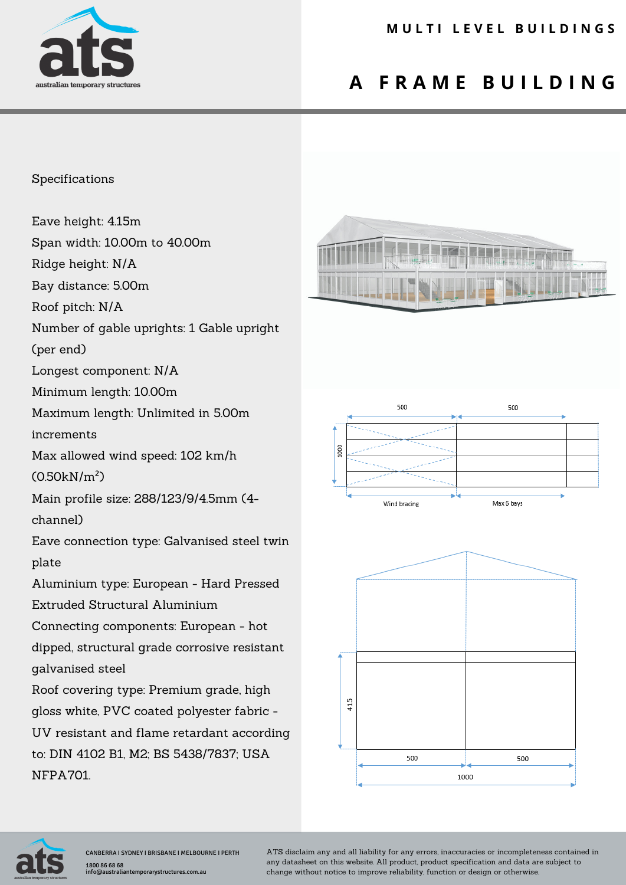

## **A F R A M E B U I L D I N G**

## Specifications

Eave height: 4.15m

Span width: 10.00m to 40.00m

Ridge height: N/A

Bay distance: 5.00m

Roof pitch: N/A

Number of gable uprights: 1 Gable upright

(per end)

Longest component: N/A

Minimum length: 10.00m

Maximum length: Unlimited in 5.00m

increments

Max allowed wind speed: 102 km/h

(0.50kN/m²)

Main profile size: 288/123/9/4.5mm (4-

channel)

Eave connection type: Galvanised steel twin plate

Aluminium type: European - Hard Pressed Extruded Structural Aluminium

Connecting components: European - hot dipped, structural grade corrosive resistant

galvanised steel

Roof covering type: Premium grade, high gloss white, PVC coated polyester fabric - UV resistant and flame retardant according to: DIN 4102 B1, M2; BS 5438/7837; USA NFPA701.









ATS disclaim any and all liability for any errors, inaccuracies or incompleteness contained in any datasheet on this website. All product, product specification and data are subject to change without notice to improve reliability, function or design or otherwise.